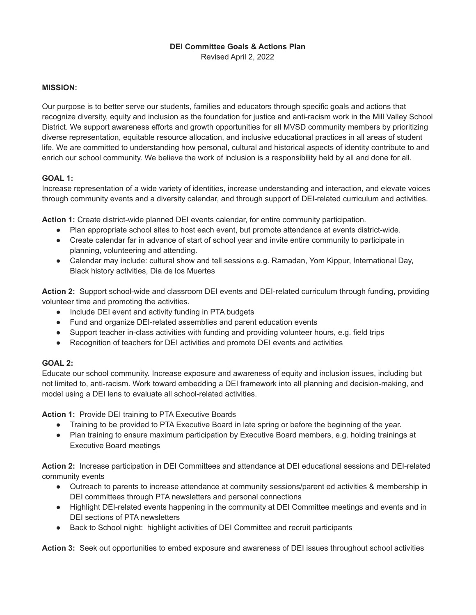# **DEI Committee Goals & Actions Plan**

Revised April 2, 2022

### **MISSION:**

Our purpose is to better serve our students, families and educators through specific goals and actions that recognize diversity, equity and inclusion as the foundation for justice and anti-racism work in the Mill Valley School District. We support awareness efforts and growth opportunities for all MVSD community members by prioritizing diverse representation, equitable resource allocation, and inclusive educational practices in all areas of student life. We are committed to understanding how personal, cultural and historical aspects of identity contribute to and enrich our school community. We believe the work of inclusion is a responsibility held by all and done for all.

## **GOAL 1:**

Increase representation of a wide variety of identities, increase understanding and interaction, and elevate voices through community events and a diversity calendar, and through support of DEI-related curriculum and activities.

**Action 1:** Create district-wide planned DEI events calendar, for entire community participation.

- Plan appropriate school sites to host each event, but promote attendance at events district-wide.
- Create calendar far in advance of start of school year and invite entire community to participate in planning, volunteering and attending.
- Calendar may include: cultural show and tell sessions e.g. Ramadan, Yom Kippur, International Day, Black history activities, Dia de los Muertes

**Action 2:** Support school-wide and classroom DEI events and DEI-related curriculum through funding, providing volunteer time and promoting the activities.

- Include DEI event and activity funding in PTA budgets
- Fund and organize DEI-related assemblies and parent education events
- Support teacher in-class activities with funding and providing volunteer hours, e.g. field trips
- Recognition of teachers for DEI activities and promote DEI events and activities

### **GOAL 2:**

Educate our school community. Increase exposure and awareness of equity and inclusion issues, including but not limited to, anti-racism. Work toward embedding a DEI framework into all planning and decision-making, and model using a DEI lens to evaluate all school-related activities.

**Action 1:** Provide DEI training to PTA Executive Boards

- Training to be provided to PTA Executive Board in late spring or before the beginning of the year.
- Plan training to ensure maximum participation by Executive Board members, e.g. holding trainings at Executive Board meetings

**Action 2:** Increase participation in DEI Committees and attendance at DEI educational sessions and DEI-related community events

- Outreach to parents to increase attendance at community sessions/parent ed activities & membership in DEI committees through PTA newsletters and personal connections
- Highlight DEI-related events happening in the community at DEI Committee meetings and events and in DEI sections of PTA newsletters
- Back to School night: highlight activities of DEI Committee and recruit participants

**Action 3:** Seek out opportunities to embed exposure and awareness of DEI issues throughout school activities